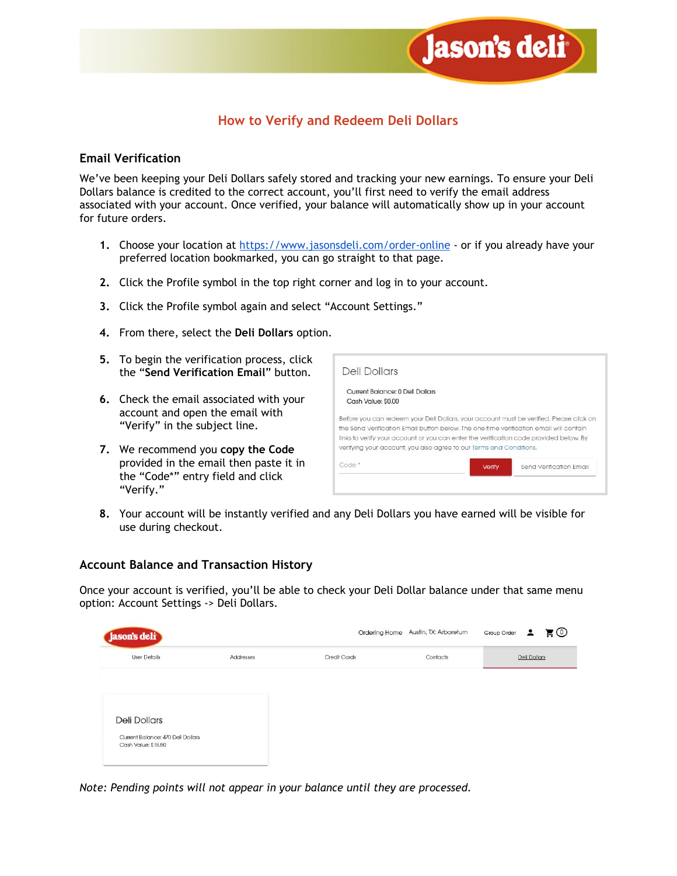

## **How to Verify and Redeem Deli Dollars**

## **Email Verification**

We've been keeping your Deli Dollars safely stored and tracking your new earnings. To ensure your Deli Dollars balance is credited to the correct account, you'll first need to verify the email address associated with your account. Once verified, your balance will automatically show up in your account for future orders.

- **1.** Choose your location at <https://www.jasonsdeli.com/order-online> or if you already have your preferred location bookmarked, you can go straight to that page.
- **2.** Click the Profile symbol in the top right corner and log in to your account.
- **3.** Click the Profile symbol again and select "Account Settings."
- **4.** From there, select the **Deli Dollars** option.
- **5.** To begin the verification process, click the "**Send Verification Email**" button.
- **6.** Check the email associated with your account and open the email with "Verify" in the subject line.
- **7.** We recommend you **copy the Code** provided in the email then paste it in the "Code\*" entry field and click "Verify."

| Deli Dollars                                                                                                                                                                                                                                                                                                                                       |               |                         |
|----------------------------------------------------------------------------------------------------------------------------------------------------------------------------------------------------------------------------------------------------------------------------------------------------------------------------------------------------|---------------|-------------------------|
| Current Balance: 0 Deli Dollars<br>Cash Value: \$0.00                                                                                                                                                                                                                                                                                              |               |                         |
| Before vou can redeem your Dell Dollars, your account must be verified. Please click on<br>the Send Verification Email button below. The one-time verification email will contain<br>links to verify your account or you can enter the verification code provided below. By<br>verifying your account, you also agree to our Terms and Conditions. |               |                         |
| Code *                                                                                                                                                                                                                                                                                                                                             | <b>Verify</b> | Send Verification Email |

**8.** Your account will be instantly verified and any Deli Dollars you have earned will be visible for use during checkout.

## **Account Balance and Transaction History**

Once your account is verified, you'll be able to check your Deli Dollar balance under that same menu option: Account Settings -> Deli Dollars.



*Note: Pending points will not appear in your balance until they are processed.*